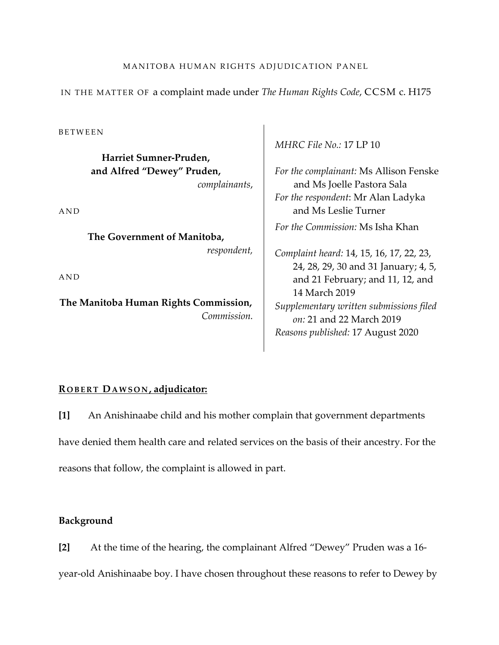# MANITOBA HUMAN RIGHTS ADJUDICATION PANEL

IN THE MATTER OF a complaint made under *The Human Rights Code*, CCSM c. H175

BETWEEN

**Harriet Sumner-Pruden, and Alfred "Dewey" Pruden,**  *complainants*,

AND

**The Government of Manitoba,**  *respondent,*

AND

**The Manitoba Human Rights Commission,** *Commission.* *MHRC File No.:* 17 LP 10

*For the complainant:* Ms Allison Fenske and Ms Joelle Pastora Sala *For the respondent*: Mr Alan Ladyka and Ms Leslie Turner *For the Commission:* Ms Isha Khan

*Complaint heard:* 14, 15, 16, 17, 22, 23, 24, 28, 29, 30 and 31 January; 4, 5, and 21 February; and 11, 12, and 14 March 2019 *Supplementary written submissions filed on:* 21 and 22 March 2019 *Reasons published:* 17 August 2020

# **R OBERT DAWSON , adjudicator:**

**[1]** An Anishinaabe child and his mother complain that government departments have denied them health care and related services on the basis of their ancestry. For the reasons that follow, the complaint is allowed in part.

### **Background**

**[2]** At the time of the hearing, the complainant Alfred "Dewey" Pruden was a 16 year-old Anishinaabe boy. I have chosen throughout these reasons to refer to Dewey by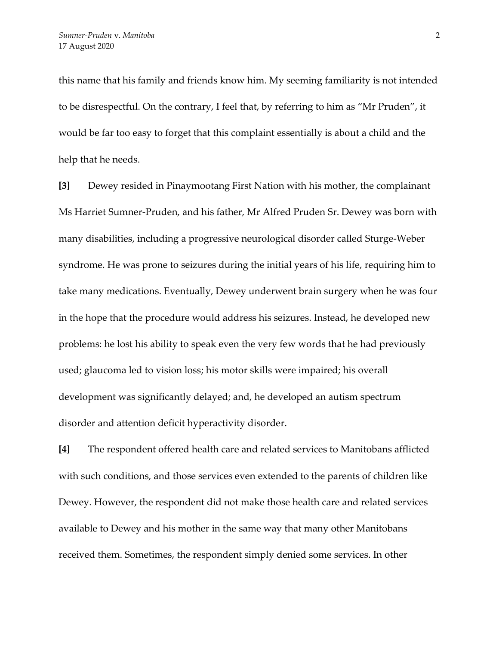this name that his family and friends know him. My seeming familiarity is not intended to be disrespectful. On the contrary, I feel that, by referring to him as "Mr Pruden", it would be far too easy to forget that this complaint essentially is about a child and the help that he needs.

**[3]** Dewey resided in Pinaymootang First Nation with his mother, the complainant Ms Harriet Sumner-Pruden, and his father, Mr Alfred Pruden Sr. Dewey was born with many disabilities, including a progressive neurological disorder called Sturge-Weber syndrome. He was prone to seizures during the initial years of his life, requiring him to take many medications. Eventually, Dewey underwent brain surgery when he was four in the hope that the procedure would address his seizures. Instead, he developed new problems: he lost his ability to speak even the very few words that he had previously used; glaucoma led to vision loss; his motor skills were impaired; his overall development was significantly delayed; and, he developed an autism spectrum disorder and attention deficit hyperactivity disorder.

**[4]** The respondent offered health care and related services to Manitobans afflicted with such conditions, and those services even extended to the parents of children like Dewey. However, the respondent did not make those health care and related services available to Dewey and his mother in the same way that many other Manitobans received them. Sometimes, the respondent simply denied some services. In other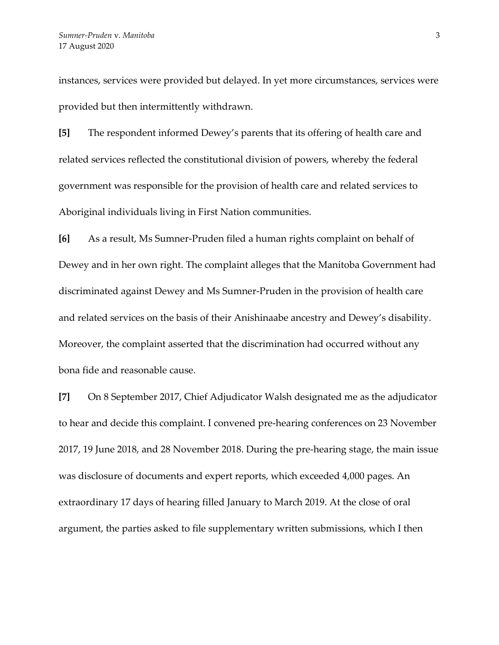instances, services were provided but delayed. In yet more circumstances, services were provided but then intermittently withdrawn.

**[5]** The respondent informed Dewey's parents that its offering of health care and related services reflected the constitutional division of powers, whereby the federal government was responsible for the provision of health care and related services to Aboriginal individuals living in First Nation communities.

**[6]** As a result, Ms Sumner-Pruden filed a human rights complaint on behalf of Dewey and in her own right. The complaint alleges that the Manitoba Government had discriminated against Dewey and Ms Sumner-Pruden in the provision of health care and related services on the basis of their Anishinaabe ancestry and Dewey's disability. Moreover, the complaint asserted that the discrimination had occurred without any bona fide and reasonable cause.

**[7]** On 8 September 2017, Chief Adjudicator Walsh designated me as the adjudicator to hear and decide this complaint. I convened pre-hearing conferences on 23 November 2017, 19 June 2018, and 28 November 2018. During the pre-hearing stage, the main issue was disclosure of documents and expert reports, which exceeded 4,000 pages. An extraordinary 17 days of hearing filled January to March 2019. At the close of oral argument, the parties asked to file supplementary written submissions, which I then

3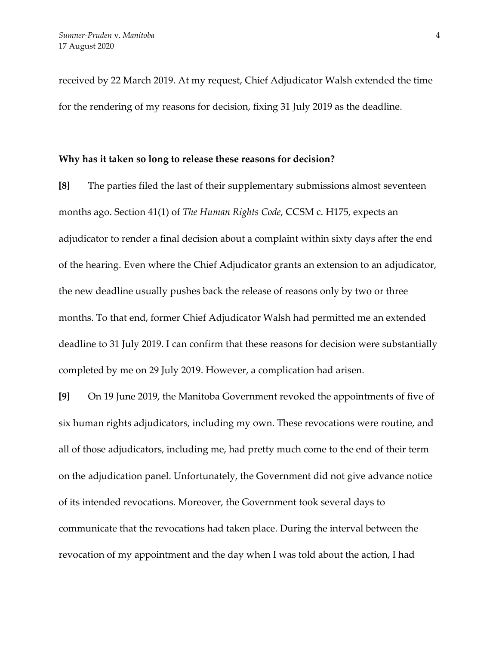received by 22 March 2019. At my request, Chief Adjudicator Walsh extended the time for the rendering of my reasons for decision, fixing 31 July 2019 as the deadline.

#### **Why has it taken so long to release these reasons for decision?**

**[8]** The parties filed the last of their supplementary submissions almost seventeen months ago. Section 41(1) of *The Human Rights Code*, CCSM c. H175, expects an adjudicator to render a final decision about a complaint within sixty days after the end of the hearing. Even where the Chief Adjudicator grants an extension to an adjudicator, the new deadline usually pushes back the release of reasons only by two or three months. To that end, former Chief Adjudicator Walsh had permitted me an extended deadline to 31 July 2019. I can confirm that these reasons for decision were substantially completed by me on 29 July 2019. However, a complication had arisen.

**[9]** On 19 June 2019, the Manitoba Government revoked the appointments of five of six human rights adjudicators, including my own. These revocations were routine, and all of those adjudicators, including me, had pretty much come to the end of their term on the adjudication panel. Unfortunately, the Government did not give advance notice of its intended revocations. Moreover, the Government took several days to communicate that the revocations had taken place. During the interval between the revocation of my appointment and the day when I was told about the action, I had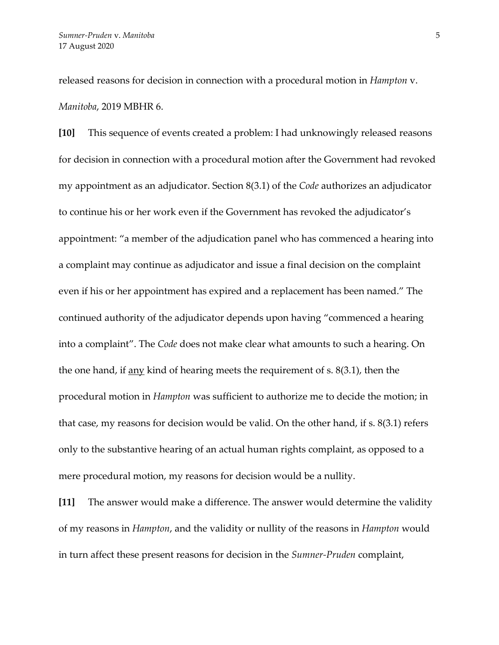released reasons for decision in connection with a procedural motion in *Hampton* v. *Manitoba*, 2019 MBHR 6.

**[10]** This sequence of events created a problem: I had unknowingly released reasons for decision in connection with a procedural motion after the Government had revoked my appointment as an adjudicator. Section 8(3.1) of the *Code* authorizes an adjudicator to continue his or her work even if the Government has revoked the adjudicator's appointment: "a member of the adjudication panel who has commenced a hearing into a complaint may continue as adjudicator and issue a final decision on the complaint even if his or her appointment has expired and a replacement has been named." The continued authority of the adjudicator depends upon having "commenced a hearing into a complaint". The *Code* does not make clear what amounts to such a hearing. On the one hand, if <u>any</u> kind of hearing meets the requirement of s.  $8(3.1)$ , then the procedural motion in *Hampton* was sufficient to authorize me to decide the motion; in that case, my reasons for decision would be valid. On the other hand, if s. 8(3.1) refers only to the substantive hearing of an actual human rights complaint, as opposed to a mere procedural motion, my reasons for decision would be a nullity.

**[11]** The answer would make a difference. The answer would determine the validity of my reasons in *Hampton*, and the validity or nullity of the reasons in *Hampton* would in turn affect these present reasons for decision in the *Sumner-Pruden* complaint,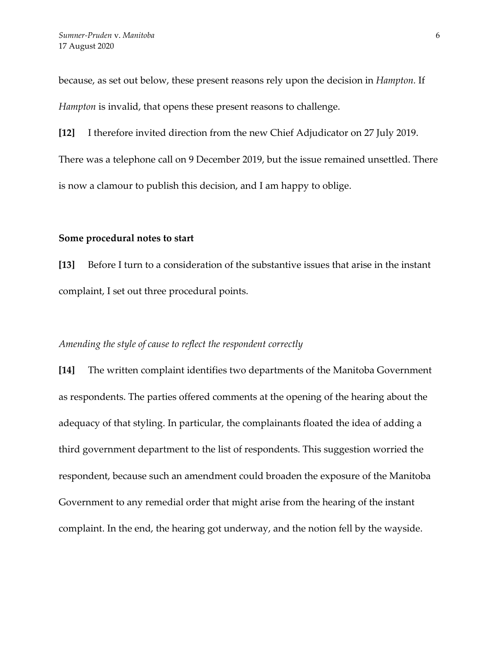because, as set out below, these present reasons rely upon the decision in *Hampton.* If *Hampton* is invalid, that opens these present reasons to challenge.

**[12]** I therefore invited direction from the new Chief Adjudicator on 27 July 2019. There was a telephone call on 9 December 2019, but the issue remained unsettled. There is now a clamour to publish this decision, and I am happy to oblige.

### **Some procedural notes to start**

**[13]** Before I turn to a consideration of the substantive issues that arise in the instant complaint, I set out three procedural points.

### *Amending the style of cause to reflect the respondent correctly*

**[14]** The written complaint identifies two departments of the Manitoba Government as respondents. The parties offered comments at the opening of the hearing about the adequacy of that styling. In particular, the complainants floated the idea of adding a third government department to the list of respondents. This suggestion worried the respondent, because such an amendment could broaden the exposure of the Manitoba Government to any remedial order that might arise from the hearing of the instant complaint. In the end, the hearing got underway, and the notion fell by the wayside.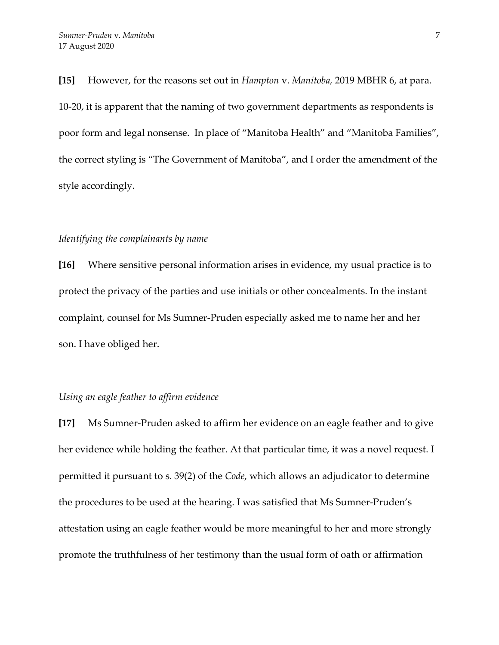**[15]** However, for the reasons set out in *Hampton* v. *Manitoba,* 2019 MBHR 6, at para. 10-20, it is apparent that the naming of two government departments as respondents is poor form and legal nonsense. In place of "Manitoba Health" and "Manitoba Families", the correct styling is "The Government of Manitoba", and I order the amendment of the style accordingly.

### *Identifying the complainants by name*

**[16]** Where sensitive personal information arises in evidence, my usual practice is to protect the privacy of the parties and use initials or other concealments. In the instant complaint, counsel for Ms Sumner-Pruden especially asked me to name her and her son. I have obliged her.

### *Using an eagle feather to affirm evidence*

**[17]** Ms Sumner-Pruden asked to affirm her evidence on an eagle feather and to give her evidence while holding the feather. At that particular time, it was a novel request. I permitted it pursuant to s. 39(2) of the *Code*, which allows an adjudicator to determine the procedures to be used at the hearing. I was satisfied that Ms Sumner-Pruden's attestation using an eagle feather would be more meaningful to her and more strongly promote the truthfulness of her testimony than the usual form of oath or affirmation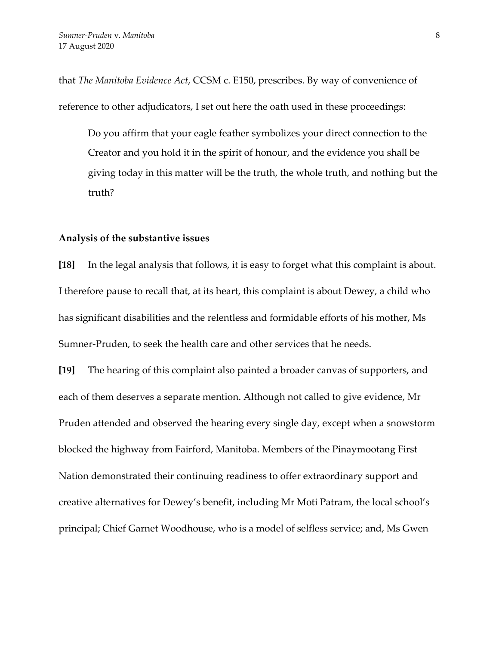that *The Manitoba Evidence Act*, CCSM c. E150, prescribes. By way of convenience of reference to other adjudicators, I set out here the oath used in these proceedings:

Do you affirm that your eagle feather symbolizes your direct connection to the Creator and you hold it in the spirit of honour, and the evidence you shall be giving today in this matter will be the truth, the whole truth, and nothing but the truth?

#### **Analysis of the substantive issues**

**[18]** In the legal analysis that follows, it is easy to forget what this complaint is about. I therefore pause to recall that, at its heart, this complaint is about Dewey, a child who has significant disabilities and the relentless and formidable efforts of his mother, Ms Sumner-Pruden, to seek the health care and other services that he needs.

**[19]** The hearing of this complaint also painted a broader canvas of supporters, and each of them deserves a separate mention. Although not called to give evidence, Mr Pruden attended and observed the hearing every single day, except when a snowstorm blocked the highway from Fairford, Manitoba. Members of the Pinaymootang First Nation demonstrated their continuing readiness to offer extraordinary support and creative alternatives for Dewey's benefit, including Mr Moti Patram, the local school's principal; Chief Garnet Woodhouse, who is a model of selfless service; and, Ms Gwen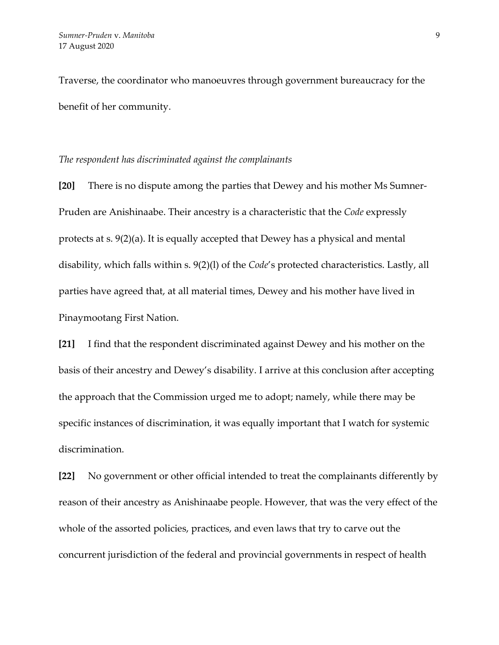Traverse, the coordinator who manoeuvres through government bureaucracy for the benefit of her community.

### *The respondent has discriminated against the complainants*

**[20]** There is no dispute among the parties that Dewey and his mother Ms Sumner-Pruden are Anishinaabe. Their ancestry is a characteristic that the *Code* expressly protects at s. 9(2)(a). It is equally accepted that Dewey has a physical and mental disability, which falls within s. 9(2)(l) of the *Code*'s protected characteristics. Lastly, all parties have agreed that, at all material times, Dewey and his mother have lived in Pinaymootang First Nation.

**[21]** I find that the respondent discriminated against Dewey and his mother on the basis of their ancestry and Dewey's disability. I arrive at this conclusion after accepting the approach that the Commission urged me to adopt; namely, while there may be specific instances of discrimination, it was equally important that I watch for systemic discrimination.

**[22]** No government or other official intended to treat the complainants differently by reason of their ancestry as Anishinaabe people. However, that was the very effect of the whole of the assorted policies, practices, and even laws that try to carve out the concurrent jurisdiction of the federal and provincial governments in respect of health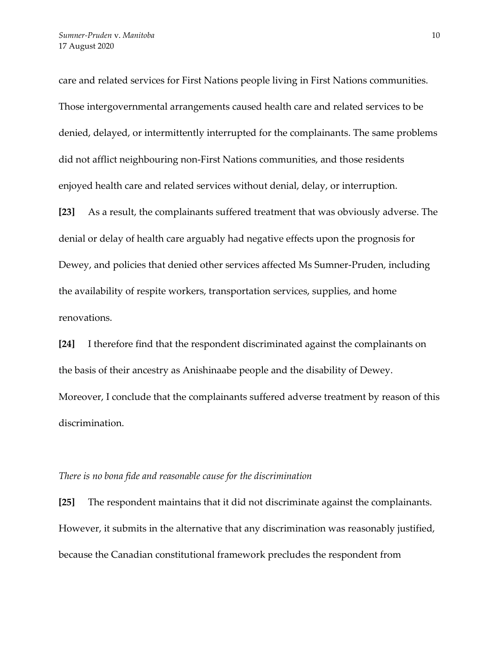care and related services for First Nations people living in First Nations communities. Those intergovernmental arrangements caused health care and related services to be denied, delayed, or intermittently interrupted for the complainants. The same problems did not afflict neighbouring non-First Nations communities, and those residents enjoyed health care and related services without denial, delay, or interruption.

**[23]** As a result, the complainants suffered treatment that was obviously adverse. The denial or delay of health care arguably had negative effects upon the prognosis for Dewey, and policies that denied other services affected Ms Sumner-Pruden, including the availability of respite workers, transportation services, supplies, and home renovations.

**[24]** I therefore find that the respondent discriminated against the complainants on the basis of their ancestry as Anishinaabe people and the disability of Dewey. Moreover, I conclude that the complainants suffered adverse treatment by reason of this discrimination.

#### *There is no bona fide and reasonable cause for the discrimination*

**[25]** The respondent maintains that it did not discriminate against the complainants. However, it submits in the alternative that any discrimination was reasonably justified, because the Canadian constitutional framework precludes the respondent from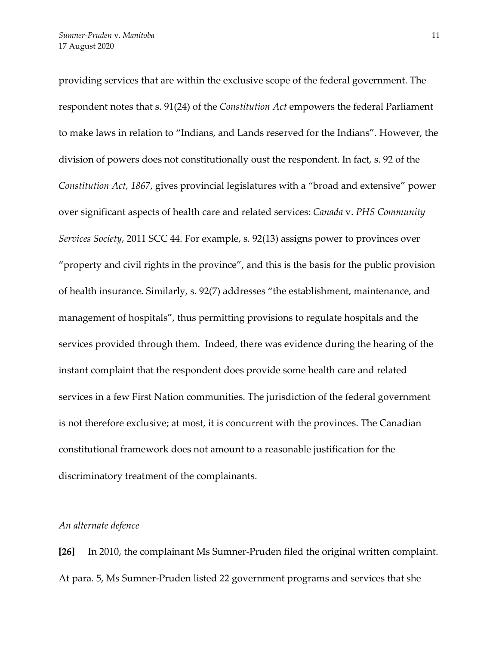providing services that are within the exclusive scope of the federal government. The respondent notes that s. 91(24) of the *Constitution Act* empowers the federal Parliament to make laws in relation to "Indians, and Lands reserved for the Indians". However, the division of powers does not constitutionally oust the respondent. In fact, s. 92 of the *Constitution Act, 1867*, gives provincial legislatures with a "broad and extensive" power over significant aspects of health care and related services: *Canada* v. *PHS Community Services Society*, 2011 SCC 44. For example, s. 92(13) assigns power to provinces over "property and civil rights in the province", and this is the basis for the public provision of health insurance. Similarly, s. 92(7) addresses "the establishment, maintenance, and management of hospitals", thus permitting provisions to regulate hospitals and the services provided through them. Indeed, there was evidence during the hearing of the instant complaint that the respondent does provide some health care and related services in a few First Nation communities. The jurisdiction of the federal government is not therefore exclusive; at most, it is concurrent with the provinces. The Canadian constitutional framework does not amount to a reasonable justification for the discriminatory treatment of the complainants.

# *An alternate defence*

**[26]** In 2010, the complainant Ms Sumner-Pruden filed the original written complaint. At para. 5, Ms Sumner-Pruden listed 22 government programs and services that she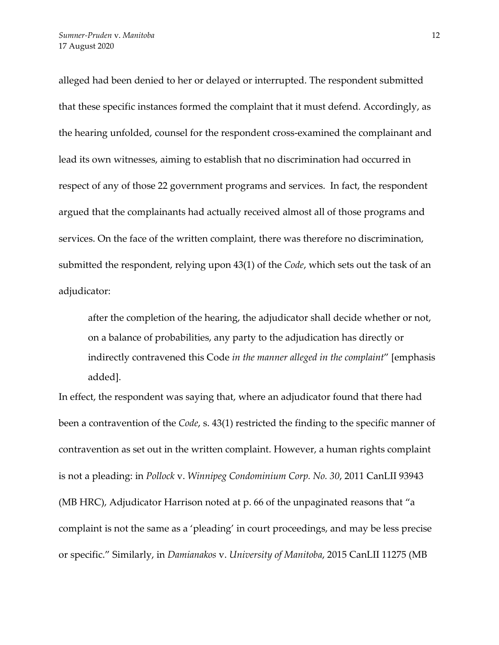alleged had been denied to her or delayed or interrupted. The respondent submitted that these specific instances formed the complaint that it must defend. Accordingly, as the hearing unfolded, counsel for the respondent cross-examined the complainant and lead its own witnesses, aiming to establish that no discrimination had occurred in respect of any of those 22 government programs and services. In fact, the respondent argued that the complainants had actually received almost all of those programs and services. On the face of the written complaint, there was therefore no discrimination, submitted the respondent, relying upon 43(1) of the *Code*, which sets out the task of an adjudicator:

after the completion of the hearing, the adjudicator shall decide whether or not, on a balance of probabilities, any party to the adjudication has directly or indirectly contravened this Code *in the manner alleged in the complaint*" [emphasis added].

In effect, the respondent was saying that, where an adjudicator found that there had been a contravention of the *Code*, s. 43(1) restricted the finding to the specific manner of contravention as set out in the written complaint. However, a human rights complaint is not a pleading: in *Pollock* v. *Winnipeg Condominium Corp. No. 30*, 2011 CanLII 93943 (MB HRC), Adjudicator Harrison noted at p. 66 of the unpaginated reasons that "a complaint is not the same as a 'pleading' in court proceedings, and may be less precise or specific." Similarly, in *Damianakos* v. *University of Manitoba*, 2015 CanLII 11275 (MB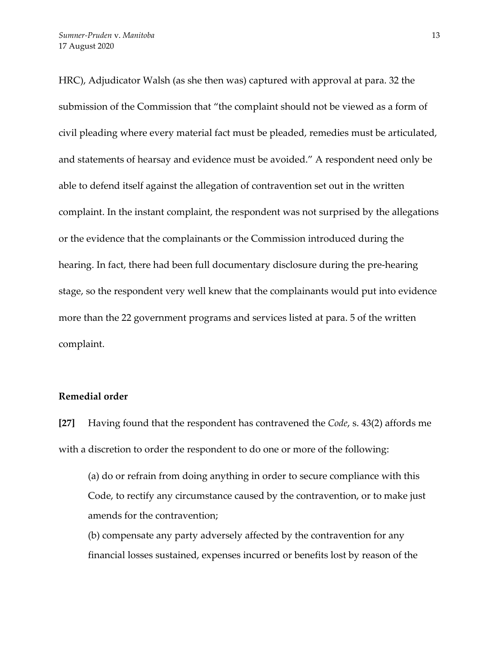HRC), Adjudicator Walsh (as she then was) captured with approval at para. 32 the submission of the Commission that "the complaint should not be viewed as a form of civil pleading where every material fact must be pleaded, remedies must be articulated, and statements of hearsay and evidence must be avoided." A respondent need only be able to defend itself against the allegation of contravention set out in the written complaint. In the instant complaint, the respondent was not surprised by the allegations or the evidence that the complainants or the Commission introduced during the hearing. In fact, there had been full documentary disclosure during the pre-hearing stage, so the respondent very well knew that the complainants would put into evidence more than the 22 government programs and services listed at para. 5 of the written complaint.

# **Remedial order**

**[27]** Having found that the respondent has contravened the *Code*, s. 43(2) affords me with a discretion to order the respondent to do one or more of the following:

(a) do or refrain from doing anything in order to secure compliance with this Code, to rectify any circumstance caused by the contravention, or to make just amends for the contravention;

(b) compensate any party adversely affected by the contravention for any financial losses sustained, expenses incurred or benefits lost by reason of the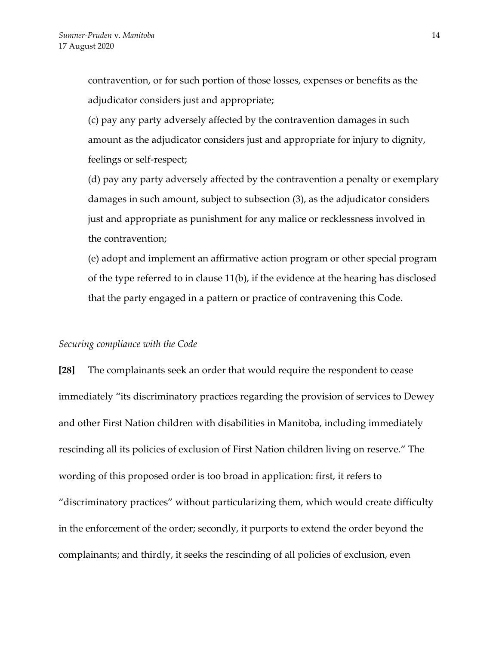contravention, or for such portion of those losses, expenses or benefits as the adjudicator considers just and appropriate;

(c) pay any party adversely affected by the contravention damages in such amount as the adjudicator considers just and appropriate for injury to dignity, feelings or self-respect;

(d) pay any party adversely affected by the contravention a penalty or exemplary damages in such amount, subject to subsection (3), as the adjudicator considers just and appropriate as punishment for any malice or recklessness involved in the contravention;

(e) adopt and implement an affirmative action program or other special program of the type referred to in clause 11(b), if the evidence at the hearing has disclosed that the party engaged in a pattern or practice of contravening this Code.

### *Securing compliance with the Code*

**[28]** The complainants seek an order that would require the respondent to cease immediately "its discriminatory practices regarding the provision of services to Dewey and other First Nation children with disabilities in Manitoba, including immediately rescinding all its policies of exclusion of First Nation children living on reserve." The wording of this proposed order is too broad in application: first, it refers to "discriminatory practices" without particularizing them, which would create difficulty in the enforcement of the order; secondly, it purports to extend the order beyond the complainants; and thirdly, it seeks the rescinding of all policies of exclusion, even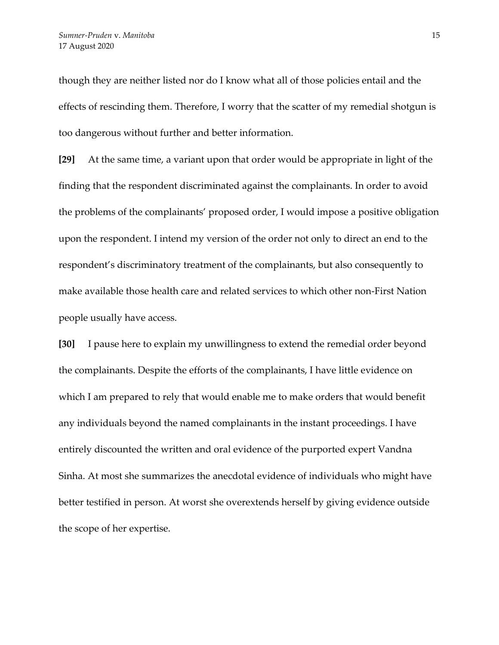though they are neither listed nor do I know what all of those policies entail and the effects of rescinding them. Therefore, I worry that the scatter of my remedial shotgun is too dangerous without further and better information.

**[29]** At the same time, a variant upon that order would be appropriate in light of the finding that the respondent discriminated against the complainants. In order to avoid the problems of the complainants' proposed order, I would impose a positive obligation upon the respondent. I intend my version of the order not only to direct an end to the respondent's discriminatory treatment of the complainants, but also consequently to make available those health care and related services to which other non-First Nation people usually have access.

**[30]** I pause here to explain my unwillingness to extend the remedial order beyond the complainants. Despite the efforts of the complainants, I have little evidence on which I am prepared to rely that would enable me to make orders that would benefit any individuals beyond the named complainants in the instant proceedings. I have entirely discounted the written and oral evidence of the purported expert Vandna Sinha. At most she summarizes the anecdotal evidence of individuals who might have better testified in person. At worst she overextends herself by giving evidence outside the scope of her expertise.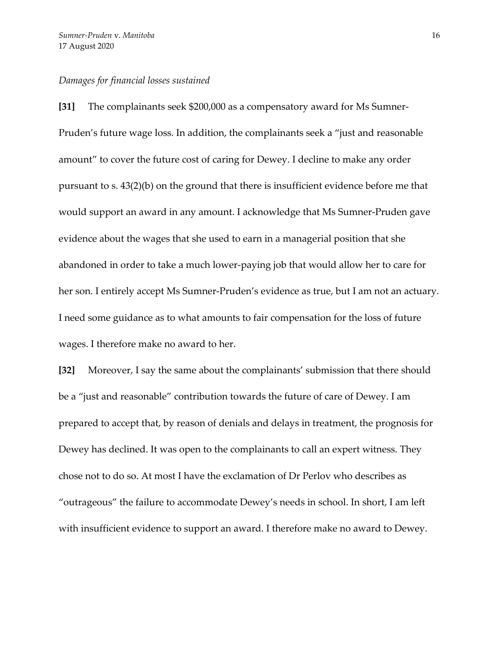### *Damages for financial losses sustained*

**[31]** The complainants seek \$200,000 as a compensatory award for Ms Sumner-Pruden's future wage loss. In addition, the complainants seek a "just and reasonable amount" to cover the future cost of caring for Dewey. I decline to make any order pursuant to s. 43(2)(b) on the ground that there is insufficient evidence before me that would support an award in any amount. I acknowledge that Ms Sumner-Pruden gave evidence about the wages that she used to earn in a managerial position that she abandoned in order to take a much lower-paying job that would allow her to care for her son. I entirely accept Ms Sumner-Pruden's evidence as true, but I am not an actuary. I need some guidance as to what amounts to fair compensation for the loss of future wages. I therefore make no award to her.

**[32]** Moreover, I say the same about the complainants' submission that there should be a "just and reasonable" contribution towards the future of care of Dewey. I am prepared to accept that, by reason of denials and delays in treatment, the prognosis for Dewey has declined. It was open to the complainants to call an expert witness. They chose not to do so. At most I have the exclamation of Dr Perlov who describes as "outrageous" the failure to accommodate Dewey's needs in school. In short, I am left with insufficient evidence to support an award. I therefore make no award to Dewey.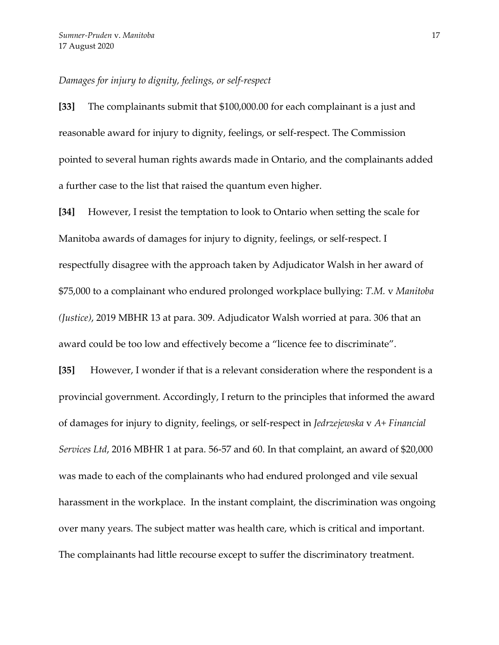### *Damages for injury to dignity, feelings, or self-respect*

**[33]** The complainants submit that \$100,000.00 for each complainant is a just and reasonable award for injury to dignity, feelings, or self-respect. The Commission pointed to several human rights awards made in Ontario, and the complainants added a further case to the list that raised the quantum even higher.

**[34]** However, I resist the temptation to look to Ontario when setting the scale for Manitoba awards of damages for injury to dignity, feelings, or self-respect. I respectfully disagree with the approach taken by Adjudicator Walsh in her award of \$75,000 to a complainant who endured prolonged workplace bullying: *T.M.* v *Manitoba (Justice)*, 2019 MBHR 13 at para. 309. Adjudicator Walsh worried at para. 306 that an award could be too low and effectively become a "licence fee to discriminate".

**[35]** However, I wonder if that is a relevant consideration where the respondent is a provincial government. Accordingly, I return to the principles that informed the award of damages for injury to dignity, feelings, or self-respect in *Jedrzejewska* v *A+ Financial Services Ltd*, 2016 MBHR 1 at para. 56-57 and 60. In that complaint, an award of \$20,000 was made to each of the complainants who had endured prolonged and vile sexual harassment in the workplace. In the instant complaint, the discrimination was ongoing over many years. The subject matter was health care, which is critical and important. The complainants had little recourse except to suffer the discriminatory treatment.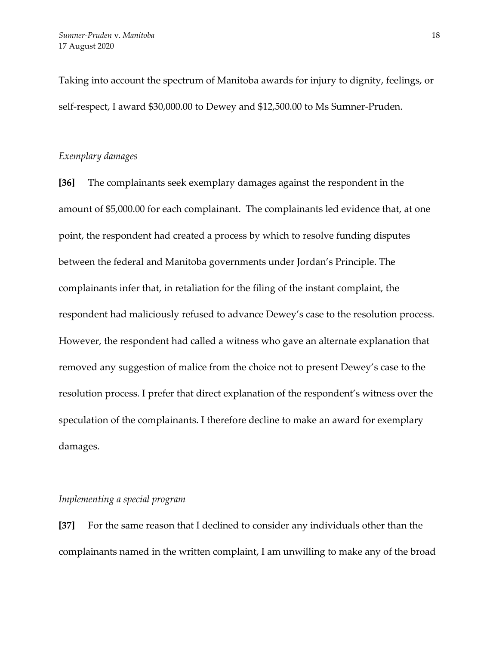Taking into account the spectrum of Manitoba awards for injury to dignity, feelings, or self-respect, I award \$30,000.00 to Dewey and \$12,500.00 to Ms Sumner-Pruden.

# *Exemplary damages*

**[36]** The complainants seek exemplary damages against the respondent in the amount of \$5,000.00 for each complainant. The complainants led evidence that, at one point, the respondent had created a process by which to resolve funding disputes between the federal and Manitoba governments under Jordan's Principle. The complainants infer that, in retaliation for the filing of the instant complaint, the respondent had maliciously refused to advance Dewey's case to the resolution process. However, the respondent had called a witness who gave an alternate explanation that removed any suggestion of malice from the choice not to present Dewey's case to the resolution process. I prefer that direct explanation of the respondent's witness over the speculation of the complainants. I therefore decline to make an award for exemplary damages.

# *Implementing a special program*

**[37]** For the same reason that I declined to consider any individuals other than the complainants named in the written complaint, I am unwilling to make any of the broad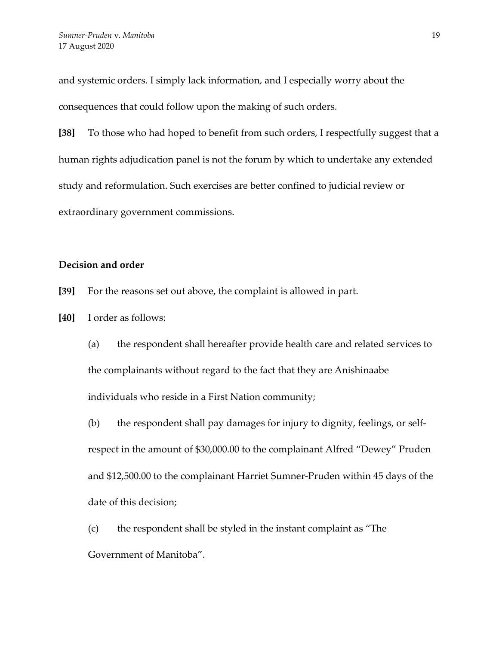and systemic orders. I simply lack information, and I especially worry about the consequences that could follow upon the making of such orders.

**[38]** To those who had hoped to benefit from such orders, I respectfully suggest that a human rights adjudication panel is not the forum by which to undertake any extended study and reformulation. Such exercises are better confined to judicial review or extraordinary government commissions.

# **Decision and order**

- **[39]** For the reasons set out above, the complaint is allowed in part.
- **[40]** I order as follows:
	- (a) the respondent shall hereafter provide health care and related services to the complainants without regard to the fact that they are Anishinaabe individuals who reside in a First Nation community;
	- (b) the respondent shall pay damages for injury to dignity, feelings, or selfrespect in the amount of \$30,000.00 to the complainant Alfred "Dewey" Pruden and \$12,500.00 to the complainant Harriet Sumner-Pruden within 45 days of the date of this decision;
	- (c) the respondent shall be styled in the instant complaint as "The Government of Manitoba".